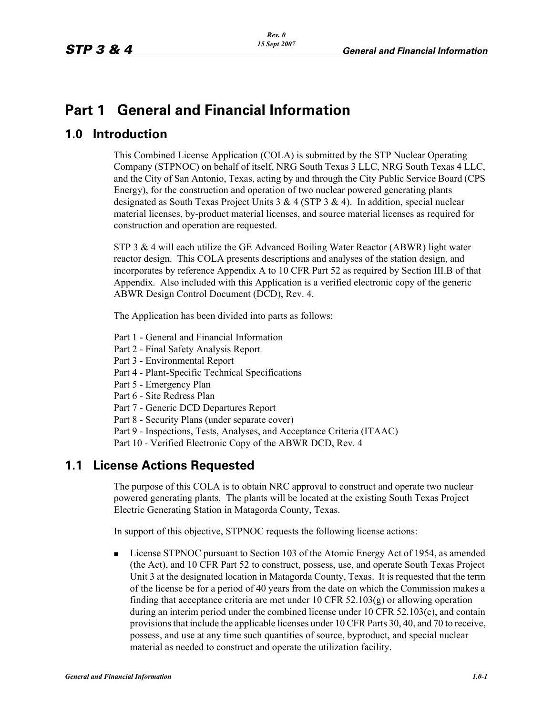# **Part 1 General and Financial Information**

# **1.0 Introduction**

This Combined License Application (COLA) is submitted by the STP Nuclear Operating Company (STPNOC) on behalf of itself, NRG South Texas 3 LLC, NRG South Texas 4 LLC, and the City of San Antonio, Texas, acting by and through the City Public Service Board (CPS Energy), for the construction and operation of two nuclear powered generating plants designated as South Texas Project Units  $3 \& 4$  (STP  $3 \& 4$ ). In addition, special nuclear material licenses, by-product material licenses, and source material licenses as required for construction and operation are requested.

STP 3 & 4 will each utilize the GE Advanced Boiling Water Reactor (ABWR) light water reactor design. This COLA presents descriptions and analyses of the station design, and incorporates by reference Appendix A to 10 CFR Part 52 as required by Section III.B of that Appendix. Also included with this Application is a verified electronic copy of the generic ABWR Design Control Document (DCD), Rev. 4.

The Application has been divided into parts as follows:

- Part 1 General and Financial Information
- Part 2 Final Safety Analysis Report
- Part 3 Environmental Report
- Part 4 Plant-Specific Technical Specifications
- Part 5 Emergency Plan
- Part 6 Site Redress Plan
- Part 7 Generic DCD Departures Report
- Part 8 Security Plans (under separate cover)

Part 9 - Inspections, Tests, Analyses, and Acceptance Criteria (ITAAC)

Part 10 - Verified Electronic Copy of the ABWR DCD, Rev. 4

# **1.1 License Actions Requested**

The purpose of this COLA is to obtain NRC approval to construct and operate two nuclear powered generating plants. The plants will be located at the existing South Texas Project Electric Generating Station in Matagorda County, Texas.

In support of this objective, STPNOC requests the following license actions:

**Example STPNOC** pursuant to Section 103 of the Atomic Energy Act of 1954, as amended (the Act), and 10 CFR Part 52 to construct, possess, use, and operate South Texas Project Unit 3 at the designated location in Matagorda County, Texas. It is requested that the term of the license be for a period of 40 years from the date on which the Commission makes a finding that acceptance criteria are met under 10 CFR  $52.103(g)$  or allowing operation during an interim period under the combined license under 10 CFR 52.103(c), and contain provisions that include the applicable licenses under 10 CFR Parts 30, 40, and 70 to receive, possess, and use at any time such quantities of source, byproduct, and special nuclear material as needed to construct and operate the utilization facility.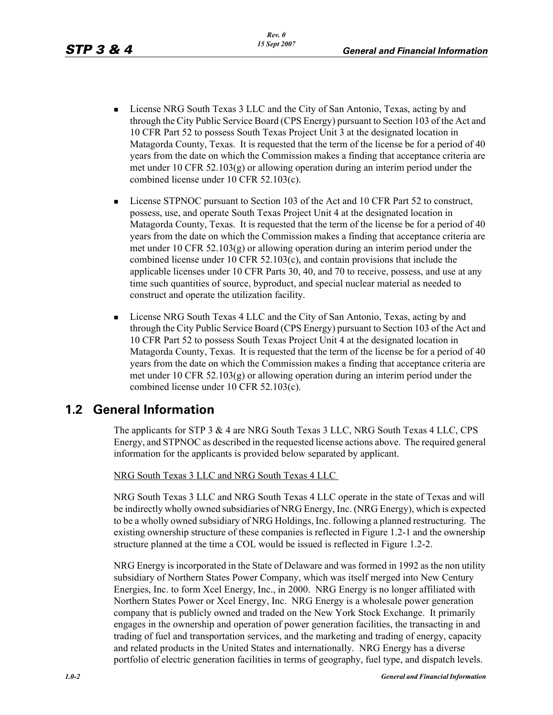- License NRG South Texas 3 LLC and the City of San Antonio, Texas, acting by and through the City Public Service Board (CPS Energy) pursuant to Section 103 of the Act and 10 CFR Part 52 to possess South Texas Project Unit 3 at the designated location in Matagorda County, Texas. It is requested that the term of the license be for a period of 40 years from the date on which the Commission makes a finding that acceptance criteria are met under 10 CFR 52.103(g) or allowing operation during an interim period under the combined license under 10 CFR 52.103(c).
- **EXECUTE:** License STPNOC pursuant to Section 103 of the Act and 10 CFR Part 52 to construct, possess, use, and operate South Texas Project Unit 4 at the designated location in Matagorda County, Texas. It is requested that the term of the license be for a period of 40 years from the date on which the Commission makes a finding that acceptance criteria are met under 10 CFR 52.103(g) or allowing operation during an interim period under the combined license under 10 CFR 52.103(c), and contain provisions that include the applicable licenses under 10 CFR Parts 30, 40, and 70 to receive, possess, and use at any time such quantities of source, byproduct, and special nuclear material as needed to construct and operate the utilization facility.
- **Example 1** License NRG South Texas 4 LLC and the City of San Antonio, Texas, acting by and through the City Public Service Board (CPS Energy) pursuant to Section 103 of the Act and 10 CFR Part 52 to possess South Texas Project Unit 4 at the designated location in Matagorda County, Texas. It is requested that the term of the license be for a period of 40 years from the date on which the Commission makes a finding that acceptance criteria are met under 10 CFR 52.103(g) or allowing operation during an interim period under the combined license under 10 CFR 52.103(c).

# **1.2 General Information**

The applicants for STP 3 & 4 are NRG South Texas 3 LLC, NRG South Texas 4 LLC, CPS Energy, and STPNOC as described in the requested license actions above. The required general information for the applicants is provided below separated by applicant.

NRG South Texas 3 LLC and NRG South Texas 4 LLC

NRG South Texas 3 LLC and NRG South Texas 4 LLC operate in the state of Texas and will be indirectly wholly owned subsidiaries of NRG Energy, Inc. (NRG Energy), which is expected to be a wholly owned subsidiary of NRG Holdings, Inc. following a planned restructuring. The existing ownership structure of these companies is reflected in Figure 1.2-1 and the ownership structure planned at the time a COL would be issued is reflected in Figure 1.2-2.

NRG Energy is incorporated in the State of Delaware and was formed in 1992 as the non utility subsidiary of Northern States Power Company, which was itself merged into New Century Energies, Inc. to form Xcel Energy, Inc., in 2000. NRG Energy is no longer affiliated with Northern States Power or Xcel Energy, Inc. NRG Energy is a wholesale power generation company that is publicly owned and traded on the New York Stock Exchange. It primarily engages in the ownership and operation of power generation facilities, the transacting in and trading of fuel and transportation services, and the marketing and trading of energy, capacity and related products in the United States and internationally. NRG Energy has a diverse portfolio of electric generation facilities in terms of geography, fuel type, and dispatch levels.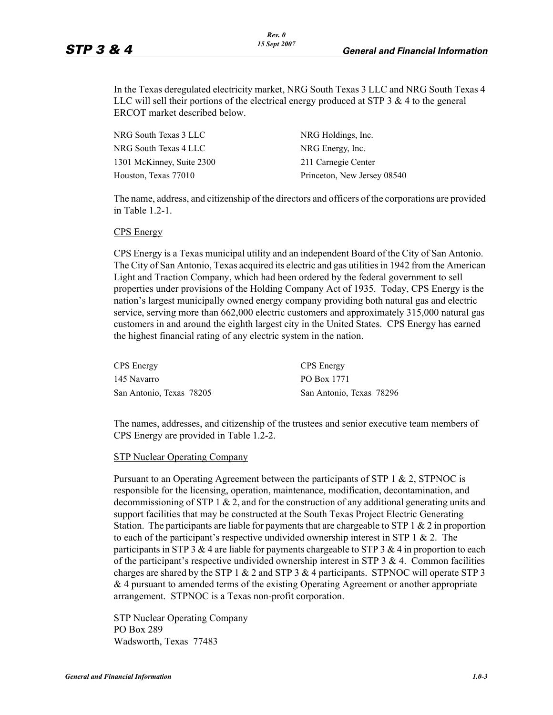In the Texas deregulated electricity market, NRG South Texas 3 LLC and NRG South Texas 4 LLC will sell their portions of the electrical energy produced at STP 3  $\&$  4 to the general ERCOT market described below.

| NRG South Texas 3 LLC     | NRG Holdings, Inc.          |
|---------------------------|-----------------------------|
| NRG South Texas 4 LLC     | NRG Energy, Inc.            |
| 1301 McKinney, Suite 2300 | 211 Carnegie Center         |
| Houston, Texas 77010      | Princeton, New Jersey 08540 |

The name, address, and citizenship of the directors and officers of the corporations are provided in Table 1.2-1.

#### CPS Energy

CPS Energy is a Texas municipal utility and an independent Board of the City of San Antonio. The City of San Antonio, Texas acquired its electric and gas utilities in 1942 from the American Light and Traction Company, which had been ordered by the federal government to sell properties under provisions of the Holding Company Act of 1935. Today, CPS Energy is the nation's largest municipally owned energy company providing both natural gas and electric service, serving more than 662,000 electric customers and approximately 315,000 natural gas customers in and around the eighth largest city in the United States. CPS Energy has earned the highest financial rating of any electric system in the nation.

| <b>CPS</b> Energy        | <b>CPS</b> Energy        |
|--------------------------|--------------------------|
| 145 Navarro              | PO Box 1771              |
| San Antonio, Texas 78205 | San Antonio, Texas 78296 |

The names, addresses, and citizenship of the trustees and senior executive team members of CPS Energy are provided in Table 1.2-2.

#### STP Nuclear Operating Company

Pursuant to an Operating Agreement between the participants of STP 1  $\&$  2, STPNOC is responsible for the licensing, operation, maintenance, modification, decontamination, and decommissioning of STP 1 & 2, and for the construction of any additional generating units and support facilities that may be constructed at the South Texas Project Electric Generating Station. The participants are liable for payments that are chargeable to STP  $1 \& 2$  in proportion to each of the participant's respective undivided ownership interest in STP 1  $\&$  2. The participants in STP 3  $& 4$  are liable for payments chargeable to STP 3  $& 4$  in proportion to each of the participant's respective undivided ownership interest in STP  $3 \& 4$ . Common facilities charges are shared by the STP 1  $\&$  2 and STP 3  $\&$  4 participants. STPNOC will operate STP 3 & 4 pursuant to amended terms of the existing Operating Agreement or another appropriate arrangement. STPNOC is a Texas non-profit corporation.

STP Nuclear Operating Company PO Box 289 Wadsworth, Texas 77483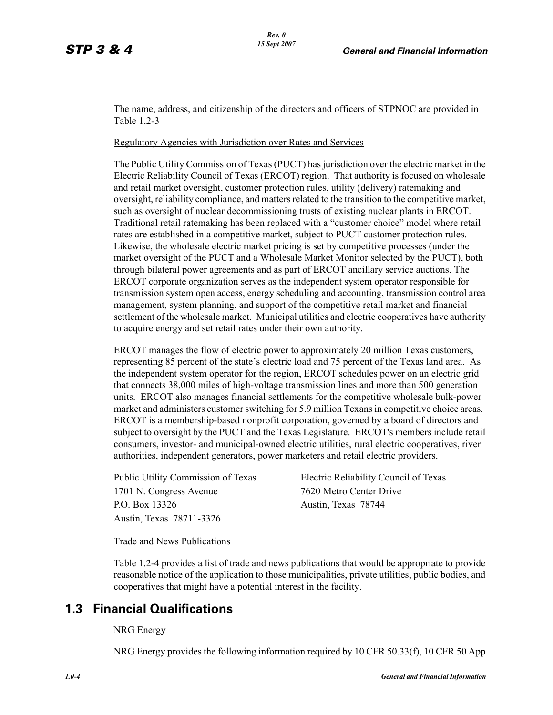The name, address, and citizenship of the directors and officers of STPNOC are provided in Table 1.2-3

Regulatory Agencies with Jurisdiction over Rates and Services

The Public Utility Commission of Texas (PUCT) has jurisdiction over the electric market in the Electric Reliability Council of Texas (ERCOT) region. That authority is focused on wholesale and retail market oversight, customer protection rules, utility (delivery) ratemaking and oversight, reliability compliance, and matters related to the transition to the competitive market, such as oversight of nuclear decommissioning trusts of existing nuclear plants in ERCOT. Traditional retail ratemaking has been replaced with a "customer choice" model where retail rates are established in a competitive market, subject to PUCT customer protection rules. Likewise, the wholesale electric market pricing is set by competitive processes (under the market oversight of the PUCT and a Wholesale Market Monitor selected by the PUCT), both through bilateral power agreements and as part of ERCOT ancillary service auctions. The ERCOT corporate organization serves as the independent system operator responsible for transmission system open access, energy scheduling and accounting, transmission control area management, system planning, and support of the competitive retail market and financial settlement of the wholesale market. Municipal utilities and electric cooperatives have authority to acquire energy and set retail rates under their own authority.

ERCOT manages the flow of electric power to approximately 20 million Texas customers, representing 85 percent of the state's electric load and 75 percent of the Texas land area. As the independent system operator for the region, ERCOT schedules power on an electric grid that connects 38,000 miles of high-voltage transmission lines and more than 500 generation units. ERCOT also manages financial settlements for the competitive wholesale bulk-power market and administers customer switching for 5.9 million Texans in competitive choice areas. ERCOT is a membership-based nonprofit corporation, governed by a board of directors and subject to oversight by the PUCT and the Texas Legislature. ERCOT's members include retail consumers, investor- and municipal-owned electric utilities, rural electric cooperatives, river authorities, independent generators, power marketers and retail electric providers.

1701 N. Congress Avenue 7620 Metro Center Drive P.O. Box 13326 Austin, Texas 78744 Austin, Texas 78711-3326

Public Utility Commission of Texas Electric Reliability Council of Texas

Trade and News Publications

Table 1.2-4 provides a list of trade and news publications that would be appropriate to provide reasonable notice of the application to those municipalities, private utilities, public bodies, and cooperatives that might have a potential interest in the facility.

# **1.3 Financial Qualifications**

#### NRG Energy

NRG Energy provides the following information required by 10 CFR 50.33(f), 10 CFR 50 App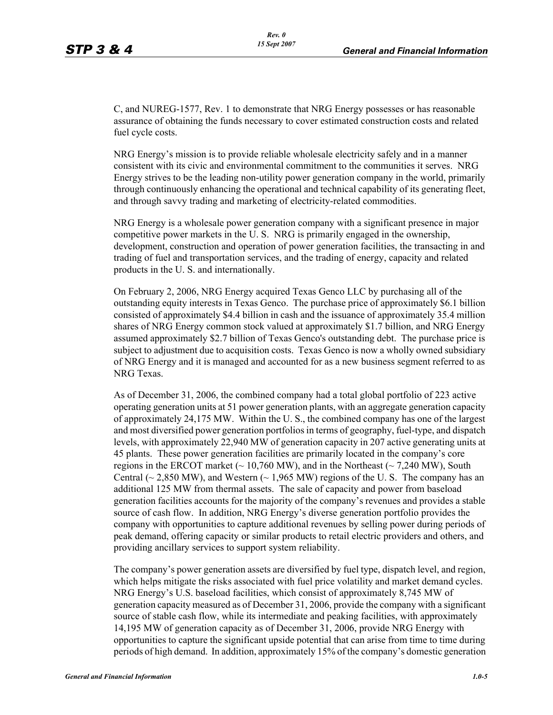C, and NUREG-1577, Rev. 1 to demonstrate that NRG Energy possesses or has reasonable assurance of obtaining the funds necessary to cover estimated construction costs and related fuel cycle costs.

NRG Energy's mission is to provide reliable wholesale electricity safely and in a manner consistent with its civic and environmental commitment to the communities it serves. NRG Energy strives to be the leading non-utility power generation company in the world, primarily through continuously enhancing the operational and technical capability of its generating fleet, and through savvy trading and marketing of electricity-related commodities.

NRG Energy is a wholesale power generation company with a significant presence in major competitive power markets in the U. S. NRG is primarily engaged in the ownership, development, construction and operation of power generation facilities, the transacting in and trading of fuel and transportation services, and the trading of energy, capacity and related products in the U. S. and internationally.

On February 2, 2006, NRG Energy acquired Texas Genco LLC by purchasing all of the outstanding equity interests in Texas Genco. The purchase price of approximately \$6.1 billion consisted of approximately \$4.4 billion in cash and the issuance of approximately 35.4 million shares of NRG Energy common stock valued at approximately \$1.7 billion, and NRG Energy assumed approximately \$2.7 billion of Texas Genco's outstanding debt. The purchase price is subject to adjustment due to acquisition costs. Texas Genco is now a wholly owned subsidiary of NRG Energy and it is managed and accounted for as a new business segment referred to as NRG Texas.

As of December 31, 2006, the combined company had a total global portfolio of 223 active operating generation units at 51 power generation plants, with an aggregate generation capacity of approximately 24,175 MW. Within the U. S., the combined company has one of the largest and most diversified power generation portfolios in terms of geography, fuel-type, and dispatch levels, with approximately 22,940 MW of generation capacity in 207 active generating units at 45 plants. These power generation facilities are primarily located in the company's core regions in the ERCOT market ( $\sim 10,760$  MW), and in the Northeast ( $\sim 7,240$  MW), South Central ( $\sim$  2,850 MW), and Western ( $\sim$  1,965 MW) regions of the U.S. The company has an additional 125 MW from thermal assets. The sale of capacity and power from baseload generation facilities accounts for the majority of the company's revenues and provides a stable source of cash flow. In addition, NRG Energy's diverse generation portfolio provides the company with opportunities to capture additional revenues by selling power during periods of peak demand, offering capacity or similar products to retail electric providers and others, and providing ancillary services to support system reliability.

The company's power generation assets are diversified by fuel type, dispatch level, and region, which helps mitigate the risks associated with fuel price volatility and market demand cycles. NRG Energy's U.S. baseload facilities, which consist of approximately 8,745 MW of generation capacity measured as of December 31, 2006, provide the company with a significant source of stable cash flow, while its intermediate and peaking facilities, with approximately 14,195 MW of generation capacity as of December 31, 2006, provide NRG Energy with opportunities to capture the significant upside potential that can arise from time to time during periods of high demand. In addition, approximately 15% of the company's domestic generation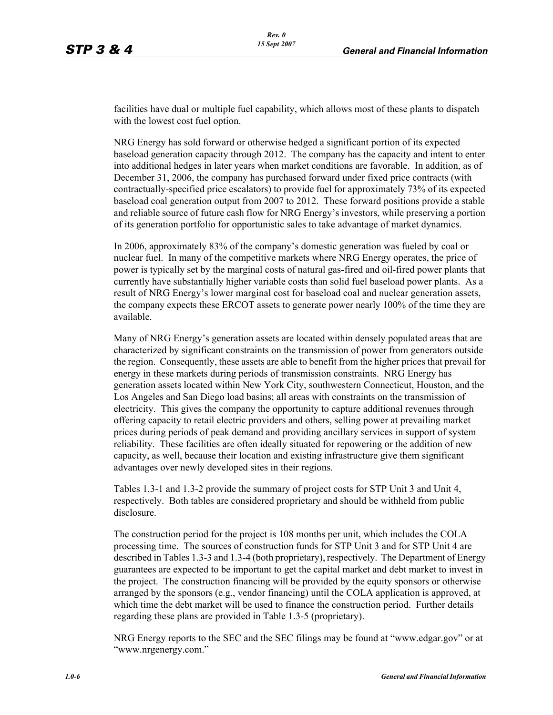facilities have dual or multiple fuel capability, which allows most of these plants to dispatch with the lowest cost fuel option.

NRG Energy has sold forward or otherwise hedged a significant portion of its expected baseload generation capacity through 2012. The company has the capacity and intent to enter into additional hedges in later years when market conditions are favorable. In addition, as of December 31, 2006, the company has purchased forward under fixed price contracts (with contractually-specified price escalators) to provide fuel for approximately 73% of its expected baseload coal generation output from 2007 to 2012. These forward positions provide a stable and reliable source of future cash flow for NRG Energy's investors, while preserving a portion of its generation portfolio for opportunistic sales to take advantage of market dynamics.

In 2006, approximately 83% of the company's domestic generation was fueled by coal or nuclear fuel. In many of the competitive markets where NRG Energy operates, the price of power is typically set by the marginal costs of natural gas-fired and oil-fired power plants that currently have substantially higher variable costs than solid fuel baseload power plants. As a result of NRG Energy's lower marginal cost for baseload coal and nuclear generation assets, the company expects these ERCOT assets to generate power nearly 100% of the time they are available.

Many of NRG Energy's generation assets are located within densely populated areas that are characterized by significant constraints on the transmission of power from generators outside the region. Consequently, these assets are able to benefit from the higher prices that prevail for energy in these markets during periods of transmission constraints. NRG Energy has generation assets located within New York City, southwestern Connecticut, Houston, and the Los Angeles and San Diego load basins; all areas with constraints on the transmission of electricity. This gives the company the opportunity to capture additional revenues through offering capacity to retail electric providers and others, selling power at prevailing market prices during periods of peak demand and providing ancillary services in support of system reliability. These facilities are often ideally situated for repowering or the addition of new capacity, as well, because their location and existing infrastructure give them significant advantages over newly developed sites in their regions.

Tables 1.3-1 and 1.3-2 provide the summary of project costs for STP Unit 3 and Unit 4, respectively. Both tables are considered proprietary and should be withheld from public disclosure.

The construction period for the project is 108 months per unit, which includes the COLA processing time. The sources of construction funds for STP Unit 3 and for STP Unit 4 are described in Tables 1.3-3 and 1.3-4 (both proprietary), respectively. The Department of Energy guarantees are expected to be important to get the capital market and debt market to invest in the project. The construction financing will be provided by the equity sponsors or otherwise arranged by the sponsors (e.g., vendor financing) until the COLA application is approved, at which time the debt market will be used to finance the construction period. Further details regarding these plans are provided in Table 1.3-5 (proprietary).

NRG Energy reports to the SEC and the SEC filings may be found at "www.edgar.gov" or at "www.nrgenergy.com."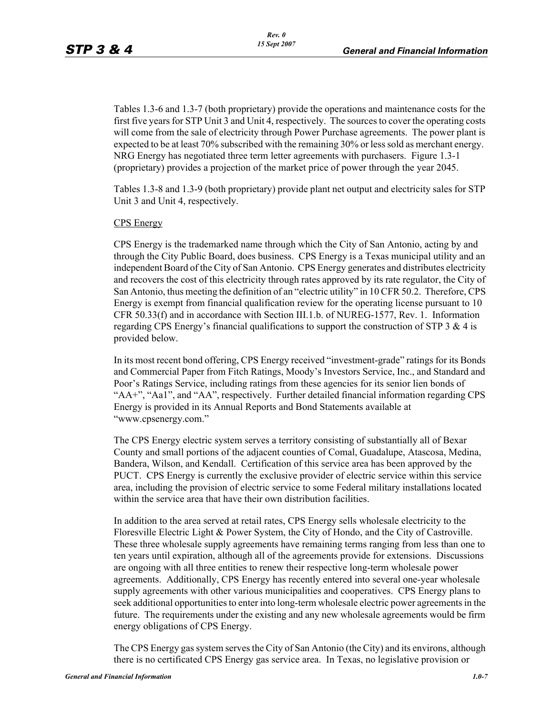Tables 1.3-6 and 1.3-7 (both proprietary) provide the operations and maintenance costs for the first five years for STP Unit 3 and Unit 4, respectively. The sources to cover the operating costs will come from the sale of electricity through Power Purchase agreements. The power plant is expected to be at least 70% subscribed with the remaining 30% or less sold as merchant energy. NRG Energy has negotiated three term letter agreements with purchasers. Figure 1.3-1 (proprietary) provides a projection of the market price of power through the year 2045.

Tables 1.3-8 and 1.3-9 (both proprietary) provide plant net output and electricity sales for STP Unit 3 and Unit 4, respectively.

#### CPS Energy

CPS Energy is the trademarked name through which the City of San Antonio, acting by and through the City Public Board, does business. CPS Energy is a Texas municipal utility and an independent Board of the City of San Antonio. CPS Energy generates and distributes electricity and recovers the cost of this electricity through rates approved by its rate regulator, the City of San Antonio, thus meeting the definition of an "electric utility" in 10 CFR 50.2. Therefore, CPS Energy is exempt from financial qualification review for the operating license pursuant to 10 CFR 50.33(f) and in accordance with Section III.1.b. of NUREG-1577, Rev. 1. Information regarding CPS Energy's financial qualifications to support the construction of STP  $3 \& 4$  is provided below.

In its most recent bond offering, CPS Energy received "investment-grade" ratings for its Bonds and Commercial Paper from Fitch Ratings, Moody's Investors Service, Inc., and Standard and Poor's Ratings Service, including ratings from these agencies for its senior lien bonds of "AA+", "Aa1", and "AA", respectively. Further detailed financial information regarding CPS Energy is provided in its Annual Reports and Bond Statements available at "www.cpsenergy.com."

The CPS Energy electric system serves a territory consisting of substantially all of Bexar County and small portions of the adjacent counties of Comal, Guadalupe, Atascosa, Medina, Bandera, Wilson, and Kendall. Certification of this service area has been approved by the PUCT. CPS Energy is currently the exclusive provider of electric service within this service area, including the provision of electric service to some Federal military installations located within the service area that have their own distribution facilities.

In addition to the area served at retail rates, CPS Energy sells wholesale electricity to the Floresville Electric Light & Power System, the City of Hondo, and the City of Castroville. These three wholesale supply agreements have remaining terms ranging from less than one to ten years until expiration, although all of the agreements provide for extensions. Discussions are ongoing with all three entities to renew their respective long-term wholesale power agreements. Additionally, CPS Energy has recently entered into several one-year wholesale supply agreements with other various municipalities and cooperatives. CPS Energy plans to seek additional opportunities to enter into long-term wholesale electric power agreements in the future. The requirements under the existing and any new wholesale agreements would be firm energy obligations of CPS Energy.

The CPS Energy gas system serves the City of San Antonio (the City) and its environs, although there is no certificated CPS Energy gas service area. In Texas, no legislative provision or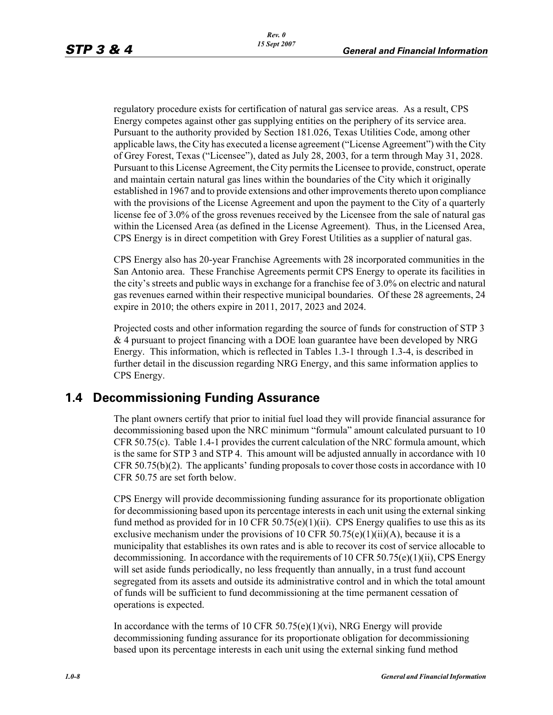regulatory procedure exists for certification of natural gas service areas. As a result, CPS Energy competes against other gas supplying entities on the periphery of its service area. Pursuant to the authority provided by Section 181.026, Texas Utilities Code, among other applicable laws, the City has executed a license agreement ("License Agreement") with the City of Grey Forest, Texas ("Licensee"), dated as July 28, 2003, for a term through May 31, 2028. Pursuant to this License Agreement, the City permits the Licensee to provide, construct, operate and maintain certain natural gas lines within the boundaries of the City which it originally established in 1967 and to provide extensions and other improvements thereto upon compliance with the provisions of the License Agreement and upon the payment to the City of a quarterly license fee of 3.0% of the gross revenues received by the Licensee from the sale of natural gas within the Licensed Area (as defined in the License Agreement). Thus, in the Licensed Area, CPS Energy is in direct competition with Grey Forest Utilities as a supplier of natural gas.

*Rev. 0 15 Sept 2007*

CPS Energy also has 20-year Franchise Agreements with 28 incorporated communities in the San Antonio area. These Franchise Agreements permit CPS Energy to operate its facilities in the city's streets and public ways in exchange for a franchise fee of 3.0% on electric and natural gas revenues earned within their respective municipal boundaries. Of these 28 agreements, 24 expire in 2010; the others expire in 2011, 2017, 2023 and 2024.

Projected costs and other information regarding the source of funds for construction of STP 3 & 4 pursuant to project financing with a DOE loan guarantee have been developed by NRG Energy. This information, which is reflected in Tables 1.3-1 through 1.3-4, is described in further detail in the discussion regarding NRG Energy, and this same information applies to CPS Energy.

# **1.4 Decommissioning Funding Assurance**

The plant owners certify that prior to initial fuel load they will provide financial assurance for decommissioning based upon the NRC minimum "formula" amount calculated pursuant to 10 CFR 50.75(c). Table 1.4-1 provides the current calculation of the NRC formula amount, which is the same for STP 3 and STP 4. This amount will be adjusted annually in accordance with 10 CFR 50.75(b)(2). The applicants' funding proposals to cover those costs in accordance with 10 CFR 50.75 are set forth below.

CPS Energy will provide decommissioning funding assurance for its proportionate obligation for decommissioning based upon its percentage interests in each unit using the external sinking fund method as provided for in 10 CFR 50.75(e)(1)(ii). CPS Energy qualifies to use this as its exclusive mechanism under the provisions of 10 CFR  $50.75(e)(1)(ii)(A)$ , because it is a municipality that establishes its own rates and is able to recover its cost of service allocable to decommissioning. In accordance with the requirements of 10 CFR 50.75(e)(1)(ii), CPS Energy will set aside funds periodically, no less frequently than annually, in a trust fund account segregated from its assets and outside its administrative control and in which the total amount of funds will be sufficient to fund decommissioning at the time permanent cessation of operations is expected.

In accordance with the terms of 10 CFR 50.75(e)(1)(vi), NRG Energy will provide decommissioning funding assurance for its proportionate obligation for decommissioning based upon its percentage interests in each unit using the external sinking fund method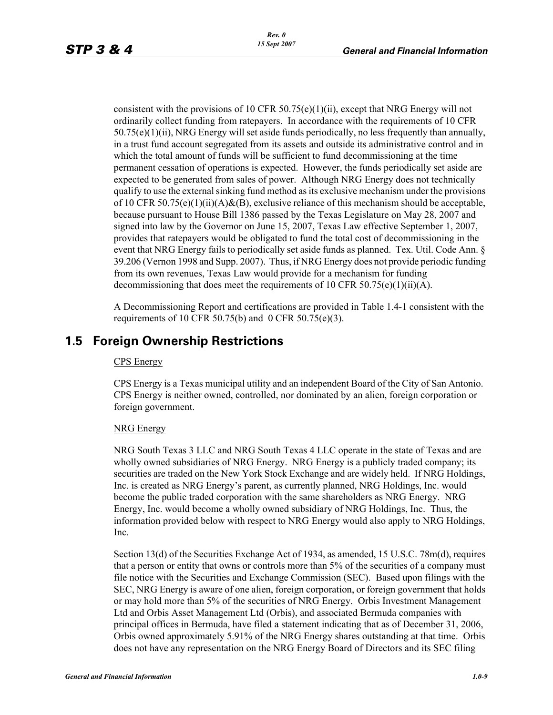consistent with the provisions of 10 CFR 50.75(e)(1)(ii), except that NRG Energy will not ordinarily collect funding from ratepayers. In accordance with the requirements of 10 CFR  $50.75(e)(1)(ii)$ , NRG Energy will set aside funds periodically, no less frequently than annually, in a trust fund account segregated from its assets and outside its administrative control and in which the total amount of funds will be sufficient to fund decommissioning at the time permanent cessation of operations is expected. However, the funds periodically set aside are expected to be generated from sales of power. Although NRG Energy does not technically qualify to use the external sinking fund method as its exclusive mechanism under the provisions of 10 CFR 50.75(e)(1)(ii)(A)&(B), exclusive reliance of this mechanism should be acceptable, because pursuant to House Bill 1386 passed by the Texas Legislature on May 28, 2007 and signed into law by the Governor on June 15, 2007, Texas Law effective September 1, 2007, provides that ratepayers would be obligated to fund the total cost of decommissioning in the event that NRG Energy fails to periodically set aside funds as planned. Tex. Util. Code Ann. § 39.206 (Vernon 1998 and Supp. 2007). Thus, if NRG Energy does not provide periodic funding from its own revenues, Texas Law would provide for a mechanism for funding decommissioning that does meet the requirements of 10 CFR 50.75(e)(1)(ii)(A).

A Decommissioning Report and certifications are provided in Table 1.4-1 consistent with the requirements of 10 CFR 50.75(b) and 0 CFR 50.75(e)(3).

# **1.5 Foreign Ownership Restrictions**

#### CPS Energy

CPS Energy is a Texas municipal utility and an independent Board of the City of San Antonio. CPS Energy is neither owned, controlled, nor dominated by an alien, foreign corporation or foreign government.

#### NRG Energy

NRG South Texas 3 LLC and NRG South Texas 4 LLC operate in the state of Texas and are wholly owned subsidiaries of NRG Energy. NRG Energy is a publicly traded company; its securities are traded on the New York Stock Exchange and are widely held. If NRG Holdings, Inc. is created as NRG Energy's parent, as currently planned, NRG Holdings, Inc. would become the public traded corporation with the same shareholders as NRG Energy. NRG Energy, Inc. would become a wholly owned subsidiary of NRG Holdings, Inc. Thus, the information provided below with respect to NRG Energy would also apply to NRG Holdings, Inc.

Section 13(d) of the Securities Exchange Act of 1934, as amended, 15 U.S.C. 78m(d), requires that a person or entity that owns or controls more than 5% of the securities of a company must file notice with the Securities and Exchange Commission (SEC). Based upon filings with the SEC, NRG Energy is aware of one alien, foreign corporation, or foreign government that holds or may hold more than 5% of the securities of NRG Energy. Orbis Investment Management Ltd and Orbis Asset Management Ltd (Orbis), and associated Bermuda companies with principal offices in Bermuda, have filed a statement indicating that as of December 31, 2006, Orbis owned approximately 5.91% of the NRG Energy shares outstanding at that time. Orbis does not have any representation on the NRG Energy Board of Directors and its SEC filing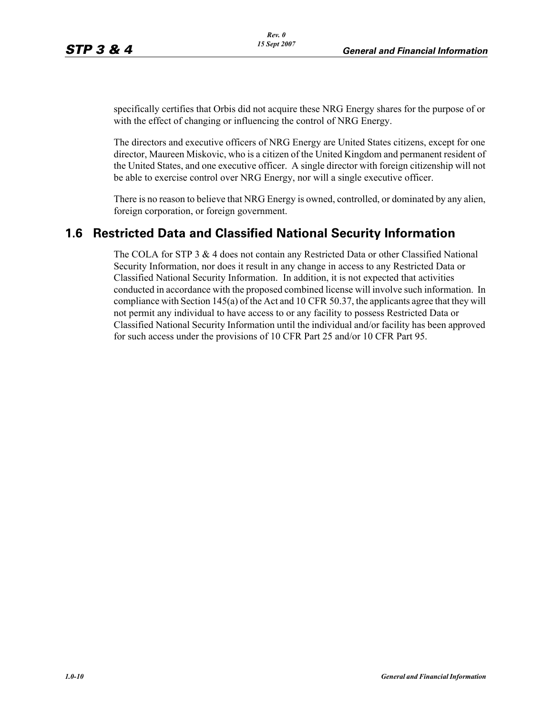specifically certifies that Orbis did not acquire these NRG Energy shares for the purpose of or with the effect of changing or influencing the control of NRG Energy.

The directors and executive officers of NRG Energy are United States citizens, except for one director, Maureen Miskovic, who is a citizen of the United Kingdom and permanent resident of the United States, and one executive officer. A single director with foreign citizenship will not be able to exercise control over NRG Energy, nor will a single executive officer.

There is no reason to believe that NRG Energy is owned, controlled, or dominated by any alien, foreign corporation, or foreign government.

# **1.6 Restricted Data and Classified National Security Information**

The COLA for STP 3 & 4 does not contain any Restricted Data or other Classified National Security Information, nor does it result in any change in access to any Restricted Data or Classified National Security Information. In addition, it is not expected that activities conducted in accordance with the proposed combined license will involve such information. In compliance with Section 145(a) of the Act and 10 CFR 50.37, the applicants agree that they will not permit any individual to have access to or any facility to possess Restricted Data or Classified National Security Information until the individual and/or facility has been approved for such access under the provisions of 10 CFR Part 25 and/or 10 CFR Part 95.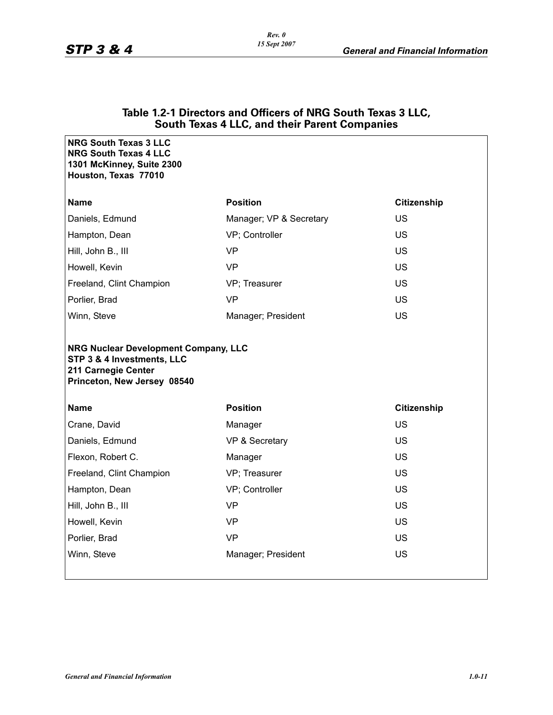|                                                                                                                          | <b>OUGHT ICAGS + LLO, GIRE HIGHT GIGHT OUTIPAINCS</b> |                    |
|--------------------------------------------------------------------------------------------------------------------------|-------------------------------------------------------|--------------------|
| <b>NRG South Texas 3 LLC</b><br><b>NRG South Texas 4 LLC</b><br>1301 McKinney, Suite 2300<br>Houston, Texas 77010        |                                                       |                    |
| <b>Name</b>                                                                                                              | <b>Position</b>                                       | <b>Citizenship</b> |
| Daniels, Edmund                                                                                                          | Manager; VP & Secretary                               | <b>US</b>          |
| Hampton, Dean                                                                                                            | VP; Controller                                        | <b>US</b>          |
| Hill, John B., III                                                                                                       | <b>VP</b>                                             | <b>US</b>          |
| Howell, Kevin                                                                                                            | <b>VP</b>                                             | <b>US</b>          |
| Freeland, Clint Champion                                                                                                 | VP; Treasurer                                         | <b>US</b>          |
| Porlier, Brad                                                                                                            | <b>VP</b>                                             | <b>US</b>          |
| Winn, Steve                                                                                                              | Manager; President                                    | <b>US</b>          |
| NRG Nuclear Development Company, LLC<br>STP 3 & 4 Investments, LLC<br>211 Carnegie Center<br>Princeton, New Jersey 08540 |                                                       |                    |
| Name                                                                                                                     | <b>Position</b>                                       | <b>Citizenship</b> |
| Crane, David                                                                                                             | Manager                                               | <b>US</b>          |
| Daniels, Edmund                                                                                                          | VP & Secretary                                        | <b>US</b>          |
| Flexon, Robert C.                                                                                                        | Manager                                               | US                 |
| Freeland, Clint Champion                                                                                                 | VP; Treasurer                                         | US.                |
| Hampton, Dean                                                                                                            | VP; Controller                                        | <b>US</b>          |
| Hill, John B., III                                                                                                       | <b>VP</b>                                             | <b>US</b>          |
| Howell, Kevin                                                                                                            | <b>VP</b>                                             | <b>US</b>          |
| Porlier, Brad                                                                                                            | <b>VP</b>                                             | <b>US</b>          |
| Winn, Steve                                                                                                              | Manager; President                                    | <b>US</b>          |
|                                                                                                                          |                                                       |                    |

#### **Table 1.2-1 Directors and Officers of NRG South Texas 3 LLC, South Texas 4 LLC, and their Parent Companies**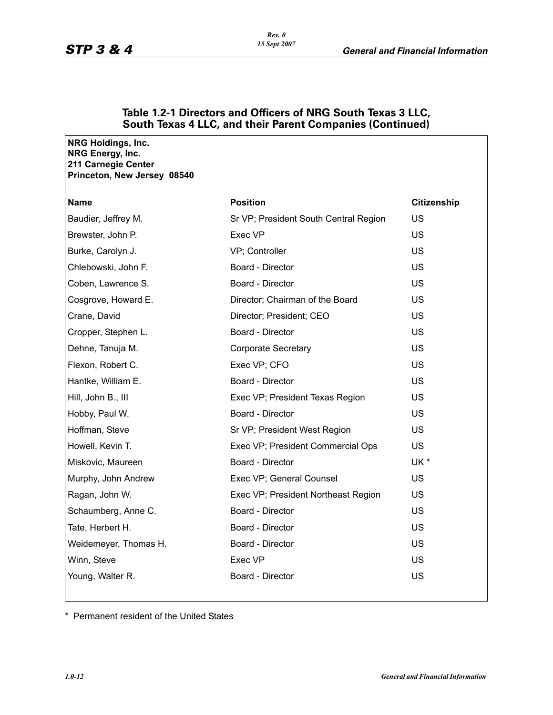| NRG Holdings, Inc.<br>NRG Energy, Inc.<br>211 Carnegie Center<br>Princeton, New Jersey 08540 |                                       |                    |
|----------------------------------------------------------------------------------------------|---------------------------------------|--------------------|
| <b>Name</b>                                                                                  | <b>Position</b>                       | <b>Citizenship</b> |
| Baudier, Jeffrey M.                                                                          | Sr VP; President South Central Region | US                 |
| Brewster, John P.                                                                            | Exec VP                               | <b>US</b>          |
| Burke, Carolyn J.                                                                            | VP; Controller                        | <b>US</b>          |
| Chlebowski, John F.                                                                          | Board - Director                      | <b>US</b>          |
| Coben, Lawrence S.                                                                           | Board - Director                      | US                 |
| Cosgrove, Howard E.                                                                          | Director; Chairman of the Board       | <b>US</b>          |
| Crane, David                                                                                 | Director; President; CEO              | <b>US</b>          |
| Cropper, Stephen L.                                                                          | Board - Director                      | <b>US</b>          |
| Dehne, Tanuja M.                                                                             | Corporate Secretary                   | <b>US</b>          |
| Flexon, Robert C.                                                                            | Exec VP; CFO                          | <b>US</b>          |
| Hantke, William E.                                                                           | Board - Director                      | <b>US</b>          |
| Hill, John B., III                                                                           | Exec VP; President Texas Region       | US.                |
| Hobby, Paul W.                                                                               | Board - Director                      | <b>US</b>          |
| Hoffman, Steve                                                                               | Sr VP; President West Region          | <b>US</b>          |
| Howell, Kevin T.                                                                             | Exec VP; President Commercial Ops     | <b>US</b>          |
| Miskovic, Maureen                                                                            | Board - Director                      | UK *               |
| Murphy, John Andrew                                                                          | Exec VP; General Counsel              | US                 |
| Ragan, John W.                                                                               | Exec VP; President Northeast Region   | US.                |
| Schaumberg, Anne C.                                                                          | Board - Director                      | <b>US</b>          |
| Tate, Herbert H.                                                                             | Board - Director                      | <b>US</b>          |
| Weidemeyer, Thomas H.                                                                        | Board - Director                      | <b>US</b>          |
| Winn, Steve                                                                                  | Exec VP                               | US                 |
| Young, Walter R.                                                                             | Board - Director                      | <b>US</b>          |
|                                                                                              |                                       |                    |

### **Table 1.2-1 Directors and Officers of NRG South Texas 3 LLC, South Texas 4 LLC, and their Parent Companies (Continued)**

\* Permanent resident of the United States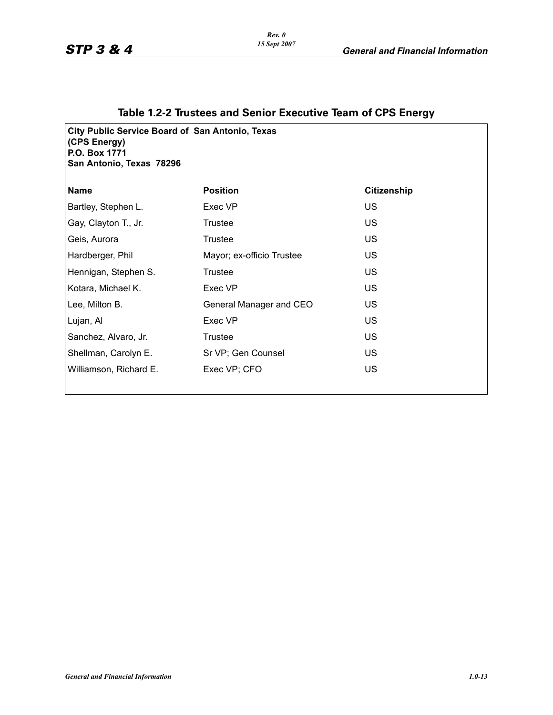### **Table 1.2-2 Trustees and Senior Executive Team of CPS Energy**

**City Public Service Board of San Antonio, Texas (CPS Energy) P.O. Box 1771 San Antonio, Texas 78296**

| <b>Name</b>            | <b>Position</b>           | <b>Citizenship</b> |
|------------------------|---------------------------|--------------------|
| Bartley, Stephen L.    | Exec VP                   | US                 |
| Gay, Clayton T., Jr.   | Trustee                   | US                 |
| Geis, Aurora           | Trustee                   | <b>US</b>          |
| Hardberger, Phil       | Mayor; ex-officio Trustee | US                 |
| Hennigan, Stephen S.   | <b>Trustee</b>            | <b>US</b>          |
| Kotara, Michael K.     | Exec VP                   | <b>US</b>          |
| Lee, Milton B.         | General Manager and CEO   | US.                |
| Lujan, Al              | Exec VP                   | US                 |
| Sanchez, Alvaro, Jr.   | <b>Trustee</b>            | <b>US</b>          |
| Shellman, Carolyn E.   | Sr VP; Gen Counsel        | US                 |
| Williamson, Richard E. | Exec VP; CFO              | <b>US</b>          |
|                        |                           |                    |

*Rev. 0 15 Sept 2007*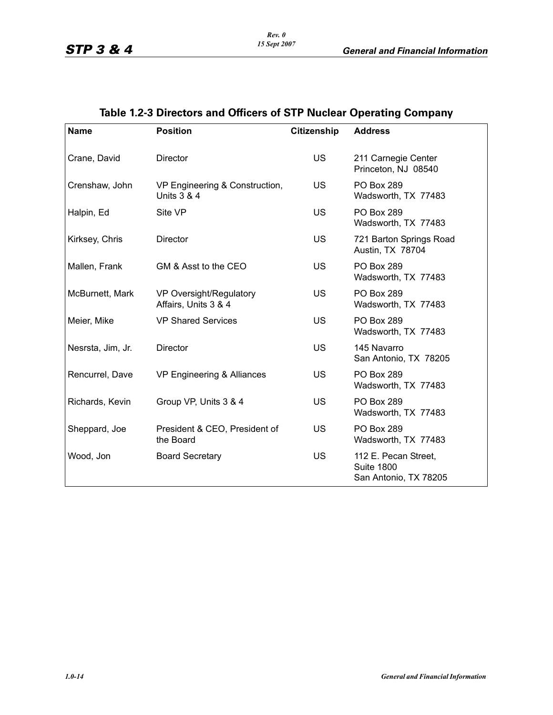| <b>Name</b>       | <b>Position</b>                                          | <b>Citizenship</b> | <b>Address</b>                                                     |
|-------------------|----------------------------------------------------------|--------------------|--------------------------------------------------------------------|
| Crane, David      | <b>Director</b>                                          | US.                | 211 Carnegie Center<br>Princeton, NJ 08540                         |
| Crenshaw, John    | VP Engineering & Construction,<br><b>Units 3 &amp; 4</b> | <b>US</b>          | <b>PO Box 289</b><br>Wadsworth, TX 77483                           |
| Halpin, Ed        | Site VP                                                  | <b>US</b>          | <b>PO Box 289</b><br>Wadsworth, TX 77483                           |
| Kirksey, Chris    | Director                                                 | <b>US</b>          | 721 Barton Springs Road<br>Austin, TX 78704                        |
| Mallen, Frank     | GM & Asst to the CEO                                     | <b>US</b>          | <b>PO Box 289</b><br>Wadsworth, TX 77483                           |
| McBurnett, Mark   | VP Oversight/Regulatory<br>Affairs, Units 3 & 4          | <b>US</b>          | <b>PO Box 289</b><br>Wadsworth, TX 77483                           |
| Meier, Mike       | <b>VP Shared Services</b>                                | <b>US</b>          | <b>PO Box 289</b><br>Wadsworth, TX 77483                           |
| Nesrsta, Jim, Jr. | <b>Director</b>                                          | <b>US</b>          | 145 Navarro<br>San Antonio, TX 78205                               |
| Rencurrel, Dave   | VP Engineering & Alliances                               | <b>US</b>          | <b>PO Box 289</b><br>Wadsworth, TX 77483                           |
| Richards, Kevin   | Group VP, Units 3 & 4                                    | US                 | <b>PO Box 289</b><br>Wadsworth, TX 77483                           |
| Sheppard, Joe     | President & CEO, President of<br>the Board               | <b>US</b>          | <b>PO Box 289</b><br>Wadsworth, TX 77483                           |
| Wood, Jon         | <b>Board Secretary</b>                                   | <b>US</b>          | 112 E. Pecan Street,<br><b>Suite 1800</b><br>San Antonio, TX 78205 |

# **Table 1.2-3 Directors and Officers of STP Nuclear Operating Company**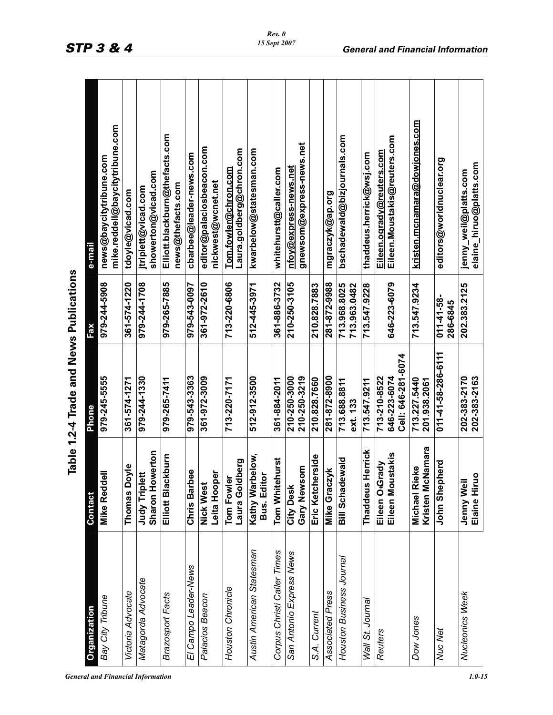| <b>General and Financial Information</b> | 1.0-15 |
|------------------------------------------|--------|
|------------------------------------------|--------|

|                                         | e-mail              | mike.reddell@baycitytribune.com<br>news@baycitytribune.com | tdoyle@vicad.com    | showerton@vicad.com<br>jtriplett@vicad.com | Elliott.blackburn@thefacts.com<br>news@thefacts.com | cbarbee@leader-news.com | editor@palaciosbeacon.com<br>nickwest@wcnet.net | Laura.goldberg@chron.com<br><u>Tom.fowler@chron.com</u> | kwarbelow@statesman.com                    | whitehurstt@caller.com      | gnewsom@express-news.net<br><u>nfoy@express-news.net</u> |                  | mgraczyk@ap.org  | bschadewald@bizjournals.com  | thaddeus.herrick@wsj.com | Eileen.Moustakis@reuters.com<br><u>Eileen.ogrady@reuters.com</u>                                                                                                     | kristen.mcnamara@dowjones.com                | editors@worldnuclear.org      | jenny_weil@platts.com        |
|-----------------------------------------|---------------------|------------------------------------------------------------|---------------------|--------------------------------------------|-----------------------------------------------------|-------------------------|-------------------------------------------------|---------------------------------------------------------|--------------------------------------------|-----------------------------|----------------------------------------------------------|------------------|------------------|------------------------------|--------------------------|----------------------------------------------------------------------------------------------------------------------------------------------------------------------|----------------------------------------------|-------------------------------|------------------------------|
|                                         | Fax                 | 979-244-5908                                               | 361-574-1220        | 979-244-1708                               | 979-265-7885                                        | 979-543-0097            | 361-972-2610                                    | 713-220-6806                                            | 512-445-3971                               | 361-886-3732                | 210-250-3105                                             | 210.828.7883     | 281-872-9988     | 713.968.8025<br>713.963.0482 | 713.547.9228             | 646-223-6079                                                                                                                                                         | 713.547.9234                                 | $011 - 41 - 58 -$<br>286-6845 | 202.383.2125                 |
| Table 1.2-4 Trade and News Publications | Phone               | 979-245-5555                                               | 361-574-1271        | 979-244-1330                               | 979-265-7411                                        | 979-543-3363            | 361-972-3009                                    | 713-220-7171                                            | 512-912-3500                               | 361-884-2011                | 210-250-3000<br>210-250-3219                             | 210.828.7660     | 281-872-8900     | 713.688.8811<br>ext. 133     | 713.547.9211             | Cell: 646-281-6074<br>713-210-8522<br>646-223-6074                                                                                                                   | 713.227.5440<br>201.938.2061                 | 011-41-58-286-6111            | 202-383-2163<br>202-383-2170 |
|                                         | Contact             | <b>Mike Reddell</b>                                        | <b>Thomas Doyle</b> | Sharon Howerton<br>Judy Triplett           | Elliott Blackburn                                   | eee<br>Chris Barl       | Leita Hooper<br><b>Nick West</b>                | Laura Goldberg<br>Tom Fowler                            | rbelow,<br><b>Bus. Editor</b><br>Kathy Wai | Tom Whitehurst              | Gary Newsom<br>City Desk                                 | Eric Ketcherside | Mike Graczyk     | <b>Bill Schadewald</b>       | Herrick<br>Thaddeus      | Eileen Moustakis<br>Eileen O <grady< td=""><td>Kristen McNamara<br/>ieke<br/><b>Michael R</b></td><td>John Shepherd</td><td>Elaine Hiruo<br/>Jenny Wei</td></grady<> | Kristen McNamara<br>ieke<br><b>Michael R</b> | John Shepherd                 | Elaine Hiruo<br>Jenny Wei    |
|                                         | <b>Organization</b> | Bay City Tribune                                           | Victoria Advocate   | Matagorda Advocate                         | Brazosport Facts                                    | El Campo Leader-News    | Palacios Beacon                                 | Houston Chronicle                                       | Austin American Statesman                  | Corpus Christi Caller Times | San Antonio Express News                                 | S.A. Current     | Associated Press | Houston Business Journal     | Wall St. Journal         | <b>Reuters</b>                                                                                                                                                       | Dow Jones                                    | Nuc Net                       | Nucleonics Week              |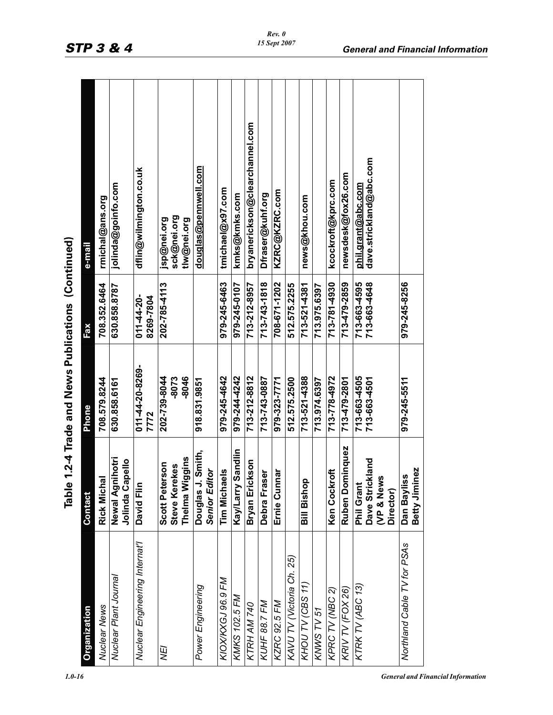| Scott Pet<br><b>Douglas</b><br>Ernie Cu<br>KAVU TV (Victoria Ch. 25)<br>KIOX/KXGJ 96.9 FM<br>KHOU TV (CBS 11)<br>Power Engineering<br>KTRK TV (ABC 13)<br>KPRC TV (NBC 2)<br>KRIV TV (FOX 26)<br><b>KMKS 102.5 FM</b><br>KUHF 88.7 FM<br><b>KZRC 92.5 FM</b><br>KTRH AM 740<br>KNWS TV 51<br>Ψ | ominquez<br>Kay/Larry Sandlin<br>J. Smith,<br>Thelma Wiggins<br>Newal Agnihotri<br>Dave Strickland<br>Jolinda Capello<br>Bryan Erickson<br>erson<br>Steve Kerekes<br><b>Senior Editor</b><br>Ken Cockroft<br><b>Tim Michaels</b><br>nnar<br>Debra Fraser<br>(VP & News<br>Rick Michal<br>Bill Bishop<br>David Flin<br><b>Phil Grant</b><br>Ruben D<br>Contact | 011-44-20-8269-<br>979-244-4242<br>-8046<br>979-245-4642<br>713-521-4388<br>713-663-4505<br>202-739-8044<br>713-212-8812<br>713-778-4972<br>-8073<br>979-323-7771<br>512.575.2500<br>713-479-2801<br>708.579.8244<br>713-743-0887<br>713-663-4501<br>918.831.9851<br>713.974.6397<br>630.858.6161<br>Phone<br>7772 | 979-245-6463<br>713-781-4930<br>713-479-2859<br>979-245-0107<br>713-743-1818<br>708-671-1202<br>713-521-4381<br>713-663-4595<br>713-663-4648<br>202-785-4113<br>512.575.2255<br>713-212-8957<br>708.352.6464<br>713.975.6397<br>630.858.8787<br>$011 - 44 - 20 -$<br>8269-7804<br>Fax | bryanerickson@clearchannel.com<br>dave.strickland@abc.com<br><u>douglas@pennwell.com</u><br>dflin@wilmington.co.uk<br>newsdesk@fox26.com<br>kcockroft@kprc.com<br>jolinda@goinfo.com<br><u>phil.grant@abc.com</u><br>tmichael@x97.com<br>KZRC@KZRC.com<br>kmks@kmks.com<br>Dfraser@kuhf.org<br>news@khou.com<br>rmichal@ans.org<br>sck@nei.org<br>jsp@nei.org<br>tlw@nei.org<br>e-mail |
|------------------------------------------------------------------------------------------------------------------------------------------------------------------------------------------------------------------------------------------------------------------------------------------------|---------------------------------------------------------------------------------------------------------------------------------------------------------------------------------------------------------------------------------------------------------------------------------------------------------------------------------------------------------------|--------------------------------------------------------------------------------------------------------------------------------------------------------------------------------------------------------------------------------------------------------------------------------------------------------------------|---------------------------------------------------------------------------------------------------------------------------------------------------------------------------------------------------------------------------------------------------------------------------------------|----------------------------------------------------------------------------------------------------------------------------------------------------------------------------------------------------------------------------------------------------------------------------------------------------------------------------------------------------------------------------------------|
| Dan Bay<br>Northland Cable TV for PSAs                                                                                                                                                                                                                                                         | Betty Jiminez<br>iiss<br>Director)                                                                                                                                                                                                                                                                                                                            | 979-245-5511                                                                                                                                                                                                                                                                                                       | 979-245-8256                                                                                                                                                                                                                                                                          |                                                                                                                                                                                                                                                                                                                                                                                        |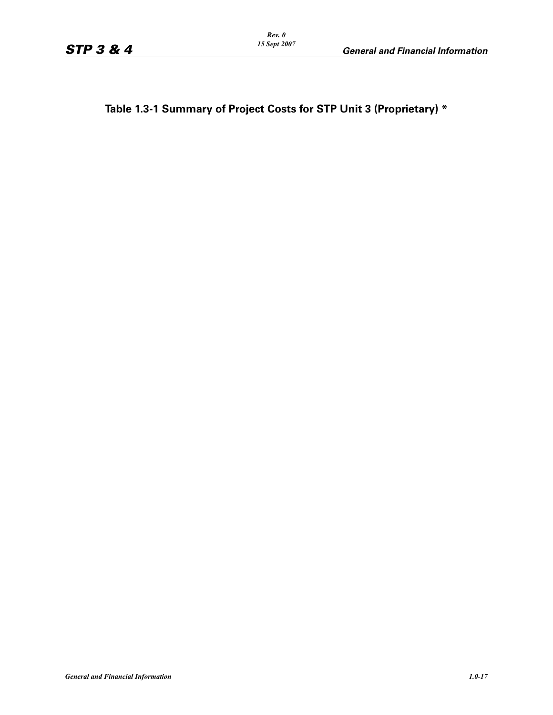**Table 1.3-1 Summary of Project Costs for STP Unit 3 (Proprietary) \***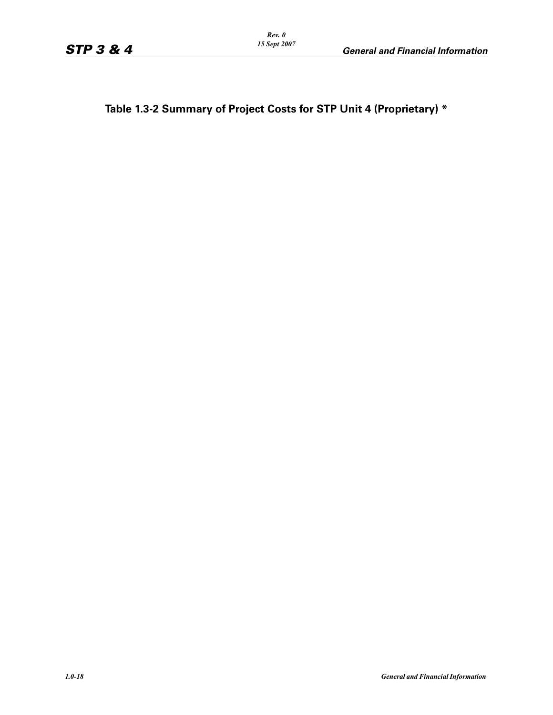**Table 1.3-2 Summary of Project Costs for STP Unit 4 (Proprietary) \***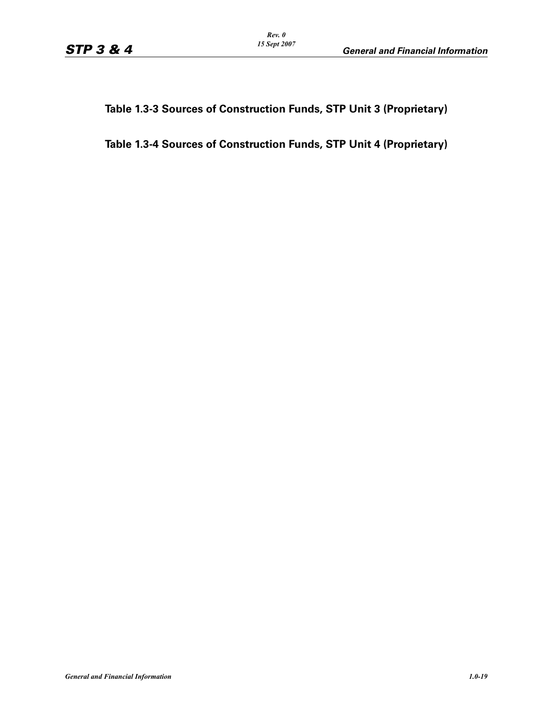### **Table 1.3-3 Sources of Construction Funds, STP Unit 3 (Proprietary)**

### **Table 1.3-4 Sources of Construction Funds, STP Unit 4 (Proprietary)**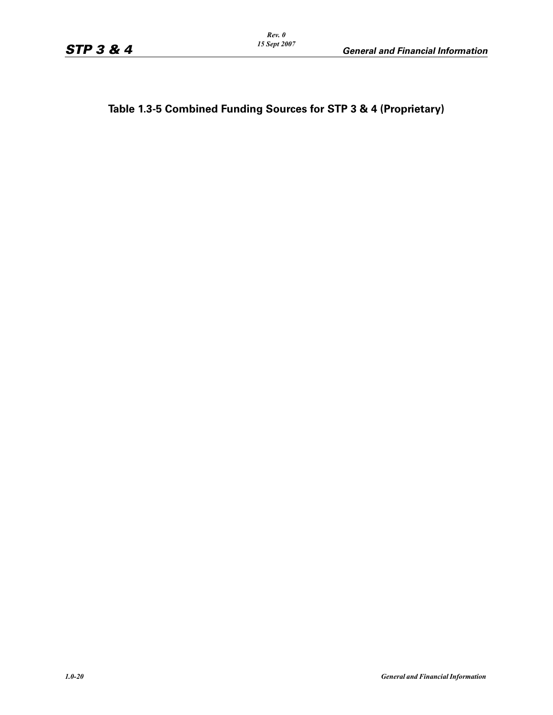**Table 1.3-5 Combined Funding Sources for STP 3 & 4 (Proprietary)**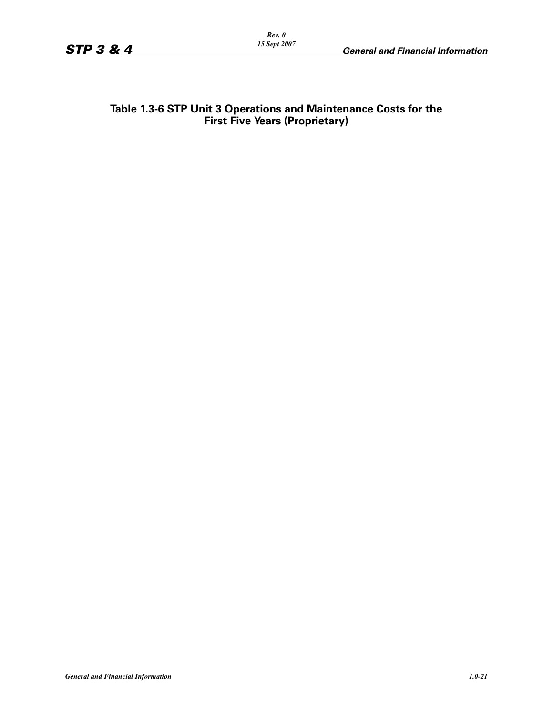#### **Table 1.3-6 STP Unit 3 Operations and Maintenance Costs for the First Five Years (Proprietary)**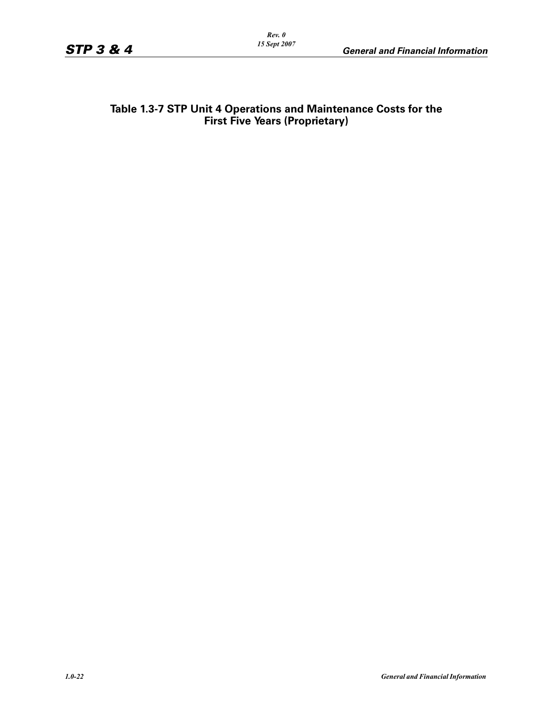### **Table 1.3-7 STP Unit 4 Operations and Maintenance Costs for the First Five Years (Proprietary)**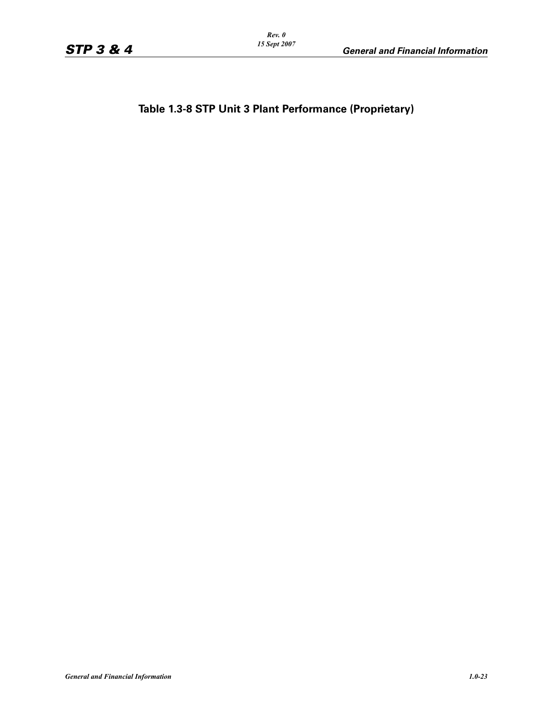**Table 1.3-8 STP Unit 3 Plant Performance (Proprietary)**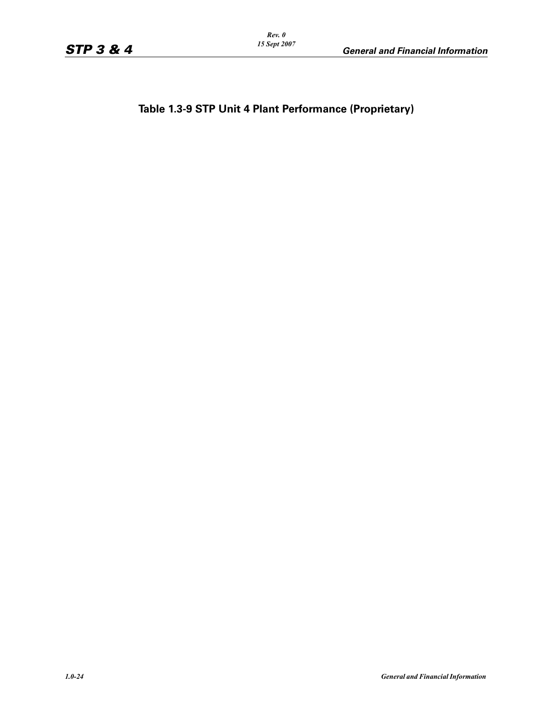**Table 1.3-9 STP Unit 4 Plant Performance (Proprietary)**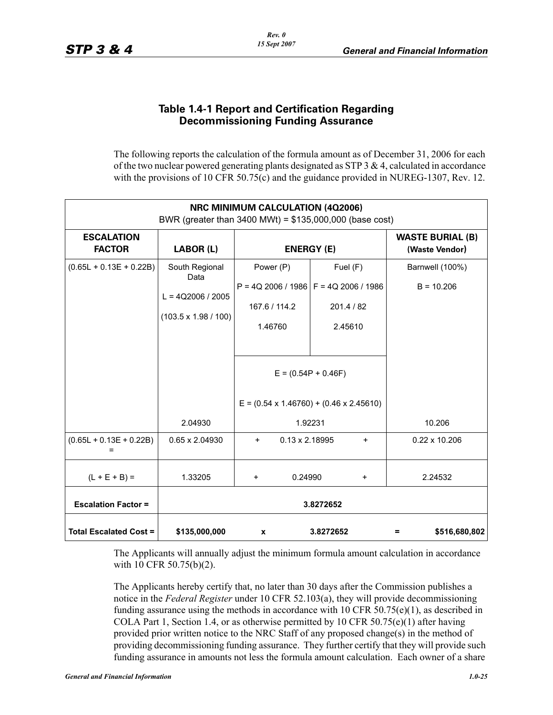### **Table 1.4-1 Report and Certification Regarding Decommissioning Funding Assurance**

The following reports the calculation of the formula amount as of December 31, 2006 for each of the two nuclear powered generating plants designated as STP  $3 \& 4$ , calculated in accordance with the provisions of 10 CFR 50.75(c) and the guidance provided in NUREG-1307, Rev. 12.

| <b>NRC MINIMUM CALCULATION (4Q2006)</b><br>BWR (greater than 3400 MWt) = \$135,000,000 (base cost) |                                                                              |                                                                                                                                                                    |                                           |                      |  |  |  |
|----------------------------------------------------------------------------------------------------|------------------------------------------------------------------------------|--------------------------------------------------------------------------------------------------------------------------------------------------------------------|-------------------------------------------|----------------------|--|--|--|
| <b>ESCALATION</b><br><b>FACTOR</b>                                                                 | LABOR (L)                                                                    | <b>ENERGY (E)</b>                                                                                                                                                  | <b>WASTE BURIAL (B)</b><br>(Waste Vendor) |                      |  |  |  |
| $(0.65L + 0.13E + 0.22B)$                                                                          | South Regional<br>Data<br>$L = 4Q2006 / 2005$<br>$(103.5 \times 1.98 / 100)$ | Power (P)<br>$P = 4Q$ 2006 / 1986 $F = 4Q$ 2006 / 1986<br>167.6 / 114.2<br>1.46760<br>$E = (0.54P + 0.46F)$<br>$E = (0.54 \times 1.46760) + (0.46 \times 2.45610)$ | Barnwell (100%)<br>$B = 10.206$           |                      |  |  |  |
|                                                                                                    | 2.04930                                                                      | 1.92231                                                                                                                                                            | 10.206                                    |                      |  |  |  |
| $(0.65L + 0.13E + 0.22B)$                                                                          | 0.65 x 2.04930                                                               | $0.13 \times 2.18995$<br>$+$                                                                                                                                       | $0.22 \times 10.206$                      |                      |  |  |  |
| $(L + E + B) =$                                                                                    | 1.33205                                                                      | 0.24990<br>$\ddot{}$                                                                                                                                               | 2.24532                                   |                      |  |  |  |
| <b>Escalation Factor =</b>                                                                         |                                                                              |                                                                                                                                                                    | 3.8272652                                 |                      |  |  |  |
| <b>Total Escalated Cost =</b>                                                                      | \$135,000,000                                                                | $\mathbf{x}$                                                                                                                                                       | 3.8272652                                 | \$516,680,802<br>$=$ |  |  |  |

The Applicants will annually adjust the minimum formula amount calculation in accordance with 10 CFR 50.75(b)(2).

The Applicants hereby certify that, no later than 30 days after the Commission publishes a notice in the *Federal Register* under 10 CFR 52.103(a), they will provide decommissioning funding assurance using the methods in accordance with 10 CFR 50.75(e)(1), as described in COLA Part 1, Section 1.4, or as otherwise permitted by 10 CFR 50.75(e)(1) after having provided prior written notice to the NRC Staff of any proposed change(s) in the method of providing decommissioning funding assurance. They further certify that they will provide such funding assurance in amounts not less the formula amount calculation. Each owner of a share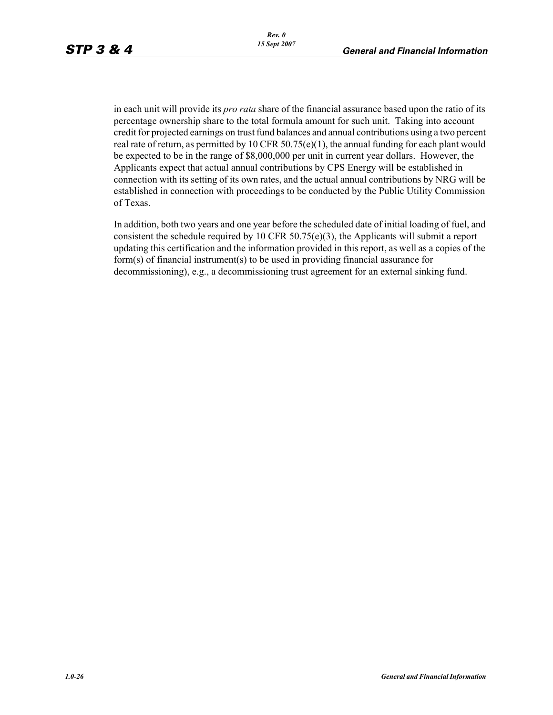in each unit will provide its *pro rata* share of the financial assurance based upon the ratio of its percentage ownership share to the total formula amount for such unit. Taking into account credit for projected earnings on trust fund balances and annual contributions using a two percent real rate of return, as permitted by 10 CFR 50.75(e)(1), the annual funding for each plant would be expected to be in the range of \$8,000,000 per unit in current year dollars. However, the Applicants expect that actual annual contributions by CPS Energy will be established in connection with its setting of its own rates, and the actual annual contributions by NRG will be established in connection with proceedings to be conducted by the Public Utility Commission of Texas.

In addition, both two years and one year before the scheduled date of initial loading of fuel, and consistent the schedule required by 10 CFR 50.75(e)(3), the Applicants will submit a report updating this certification and the information provided in this report, as well as a copies of the form(s) of financial instrument(s) to be used in providing financial assurance for decommissioning), e.g., a decommissioning trust agreement for an external sinking fund.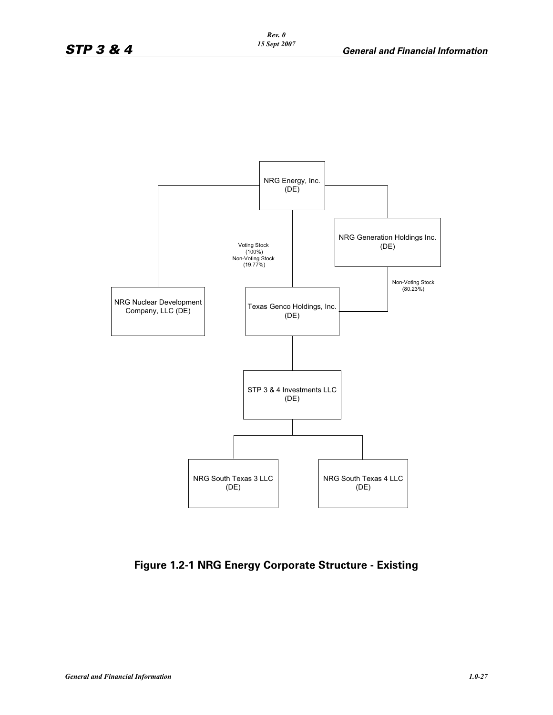

**Figure 1.2-1 NRG Energy Corporate Structure - Existing**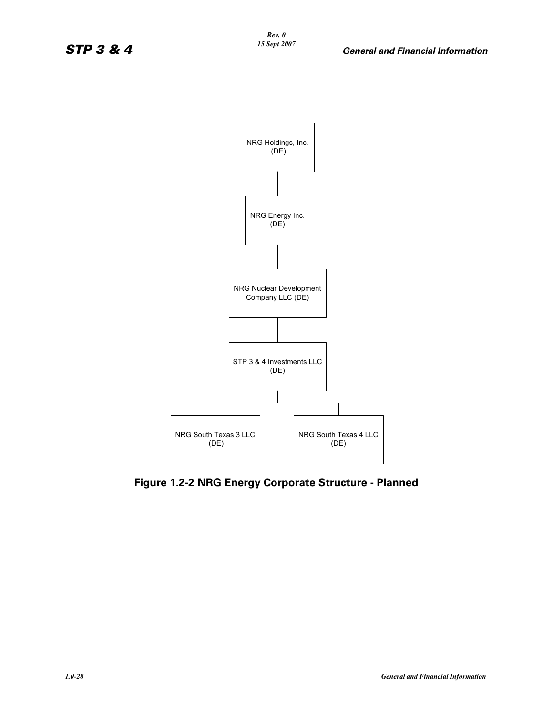

**Figure 1.2-2 NRG Energy Corporate Structure - Planned**